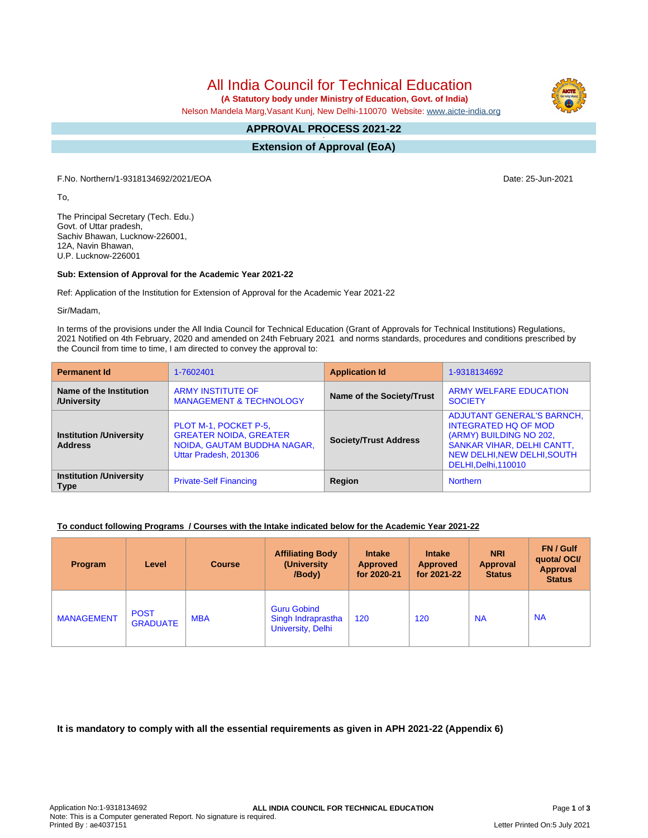All India Council for Technical Education

 **(A Statutory body under Ministry of Education, Govt. of India)**

Nelson Mandela Marg,Vasant Kunj, New Delhi-110070 Website: [www.aicte-india.org](http://www.aicte-india.org)

#### **APPROVAL PROCESS 2021-22 -**

**Extension of Approval (EoA)**

F.No. Northern/1-9318134692/2021/EOA Date: 25-Jun-2021

To,

The Principal Secretary (Tech. Edu.) Govt. of Uttar pradesh, Sachiv Bhawan, Lucknow-226001, 12A, Navin Bhawan, U.P. Lucknow-226001

## **Sub: Extension of Approval for the Academic Year 2021-22**

Ref: Application of the Institution for Extension of Approval for the Academic Year 2021-22

Sir/Madam,

In terms of the provisions under the All India Council for Technical Education (Grant of Approvals for Technical Institutions) Regulations, 2021 Notified on 4th February, 2020 and amended on 24th February 2021 and norms standards, procedures and conditions prescribed by the Council from time to time, I am directed to convey the approval to:

| <b>Permanent Id</b>                              | 1-7602401                                                                                                      | <b>Application Id</b>        | 1-9318134692                                                                                                                                                                            |  |
|--------------------------------------------------|----------------------------------------------------------------------------------------------------------------|------------------------------|-----------------------------------------------------------------------------------------------------------------------------------------------------------------------------------------|--|
| Name of the Institution<br>/University           | <b>ARMY INSTITUTE OF</b><br><b>MANAGEMENT &amp; TECHNOLOGY</b>                                                 | Name of the Society/Trust    | <b>ARMY WELFARE EDUCATION</b><br><b>SOCIETY</b>                                                                                                                                         |  |
| <b>Institution /University</b><br><b>Address</b> | PLOT M-1, POCKET P-5,<br><b>GREATER NOIDA, GREATER</b><br>NOIDA, GAUTAM BUDDHA NAGAR,<br>Uttar Pradesh, 201306 | <b>Society/Trust Address</b> | <b>ADJUTANT GENERAL'S BARNCH,</b><br><b>INTEGRATED HQ OF MOD</b><br>(ARMY) BUILDING NO 202,<br><b>SANKAR VIHAR, DELHI CANTT,</b><br>NEW DELHI, NEW DELHI, SOUTH<br>DELHI, Delhi, 110010 |  |
| <b>Institution /University</b><br><b>Type</b>    | <b>Private-Self Financing</b>                                                                                  | <b>Region</b>                | <b>Northern</b>                                                                                                                                                                         |  |

## **To conduct following Programs / Courses with the Intake indicated below for the Academic Year 2021-22**

| <b>Program</b>    | Level                          | <b>Course</b> | <b>Affiliating Body</b><br>(University)<br>/Body)             | <b>Intake</b><br><b>Approved</b><br>for 2020-21 | <b>Intake</b><br><b>Approved</b><br>for 2021-22 | <b>NRI</b><br><b>Approval</b><br><b>Status</b> | FN / Gulf<br>quotal OCI/<br>Approval<br><b>Status</b> |
|-------------------|--------------------------------|---------------|---------------------------------------------------------------|-------------------------------------------------|-------------------------------------------------|------------------------------------------------|-------------------------------------------------------|
| <b>MANAGEMENT</b> | <b>POST</b><br><b>GRADUATE</b> | <b>MBA</b>    | <b>Guru Gobind</b><br>Singh Indraprastha<br>University, Delhi | 120                                             | 120                                             | <b>NA</b>                                      | <b>NA</b>                                             |

**It is mandatory to comply with all the essential requirements as given in APH 2021-22 (Appendix 6)**